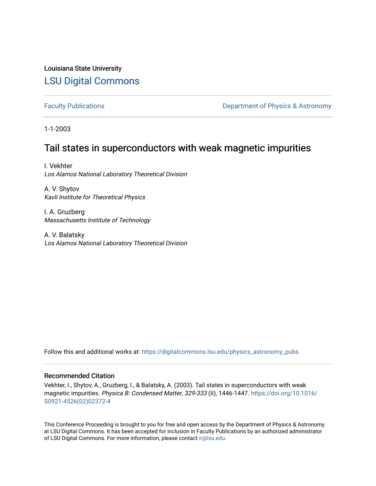Louisiana State University [LSU Digital Commons](https://digitalcommons.lsu.edu/)

[Faculty Publications](https://digitalcommons.lsu.edu/physics_astronomy_pubs) **Exercise 2 and Table 2 and Table 2 and Table 2 and Table 2 and Table 2 and Table 2 and Table 2 and Table 2 and Table 2 and Table 2 and Table 2 and Table 2 and Table 2 and Table 2 and Table 2 and Table** 

1-1-2003

## Tail states in superconductors with weak magnetic impurities

I. Vekhter Los Alamos National Laboratory Theoretical Division

A. V. Shytov Kavli Institute for Theoretical Physics

I. A. Gruzberg Massachusetts Institute of Technology

A. V. Balatsky Los Alamos National Laboratory Theoretical Division

Follow this and additional works at: [https://digitalcommons.lsu.edu/physics\\_astronomy\\_pubs](https://digitalcommons.lsu.edu/physics_astronomy_pubs?utm_source=digitalcommons.lsu.edu%2Fphysics_astronomy_pubs%2F5468&utm_medium=PDF&utm_campaign=PDFCoverPages) 

## Recommended Citation

Vekhter, I., Shytov, A., Gruzberg, I., & Balatsky, A. (2003). Tail states in superconductors with weak magnetic impurities. Physica B: Condensed Matter, 329-333 (II), 1446-1447. [https://doi.org/10.1016/](https://doi.org/10.1016/S0921-4526(02)02372-4) [S0921-4526\(02\)02372-4](https://doi.org/10.1016/S0921-4526(02)02372-4)

This Conference Proceeding is brought to you for free and open access by the Department of Physics & Astronomy at LSU Digital Commons. It has been accepted for inclusion in Faculty Publications by an authorized administrator of LSU Digital Commons. For more information, please contact [ir@lsu.edu](mailto:ir@lsu.edu).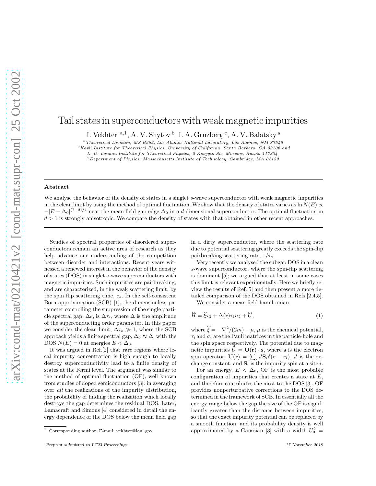## Tail states in superconductors with weak magnetic impurities

I. Vekhter <sup>a,1</sup>, A. V. Shytov <sup>b</sup>, I. A. Gruzberg <sup>c</sup>, A. V. Balatsky <sup>a</sup>

<sup>a</sup>Theoretical Division, MS B262, Los Alamos National Laboratory, Los Alamos, NM 87545

<sup>b</sup> Kavli Institute for Theoretical Physics, University of California, Santa Barbara, CA 93106 and

L. D. Landau Institute for Theoretical Physics, 2 Kosygin St., Moscow, Russia 117334

<sup>c</sup> Department of Physics, Massachusetts Institute of Technology, Cambridge, MA 02139

## Abstract

We analyse the behavior of the density of states in a singlet s-wave superconductor with weak magnetic impurities in the clean limit by using the method of optimal fluctuation. We show that the density of states varies as ln  $N(E) \propto$  $-|E - \Delta_0|^{(7-d)/4}$  near the mean field gap edge  $\Delta_0$  in a d-dimensional superconductor. The optimal fluctuation in  $d > 1$  is strongly anisotropic. We compare the density of states with that obtained in other recent approaches.

Studies of spectral properties of disordered superconductors remain an active area of research as they help advance our understanding of the competition between disorder and interactions. Recent years witnessed a renewed interest in the behavior of the density of states (DOS) in singlet s-wave superconductors with magnetic impurities. Such impurities are pairbreaking, and are characterized, in the weak scattering limit, by the spin flip scattering time,  $\tau_s$ . In the self-consistent Born approximation (SCB) [1], the dimensionless parameter controlling the suppression of the single particle spectral gap,  $\Delta_0$ , is  $\Delta \tau_s$ , where  $\Delta$  is the amplitude of the superconducting order parameter. In this paper we consider the clean limit,  $\Delta \tau_s \gg 1$ , where the SCB approach yields a finite spectral gap,  $\Delta_0 \approx \Delta$ , with the DOS  $N(E) = 0$  at energies  $E < \Delta_0$ .

It was argued in Ref.[2] that rare regions where local impurity concentration is high enough to locally destroy superconductivity lead to a finite density of states at the Fermi level. The argument was similar to the method of optimal fluctuation (OF), well known from studies of doped semiconductors [3]: in averaging over all the realizations of the impurity distribution, the probability of finding the realization which locally destroys the gap determines the residual DOS. Later, Lamacraft and Simons [4] considered in detail the energy dependence of the DOS below the mean field gap in a dirty superconductor, where the scattering rate due to potential scattering greatly exceeds the spin-flip pairbreaking scattering rate,  $1/\tau_s$ .

Very recently we analysed the subgap DOS in a clean s-wave superconductor, where the spin-flip scattering is dominant [5]; we argued that at least in some cases this limit is relevant experimentally. Here we briefly review the results of Ref.[5] and then present a more detailed comparison of the DOS obtained in Refs.[2,4,5].

We consider a mean field hamiltonian

$$
\widehat{H} = \widehat{\xi}\tau_3 + \Delta(\mathbf{r})\tau_1\sigma_2 + \widehat{U},\tag{1}
$$

where  $\hat{\xi} = -\nabla^2/(2m) - \mu$ ,  $\mu$  is the chemical potential,  $\tau_i$  and  $\sigma_i$  are the Pauli matrices in the particle-hole and the spin space respectively. The potential due to magnetic impurities  $\hat{U} = \mathbf{U}(\mathbf{r}) \cdot \mathbf{s}$ , where s is the electron spin operator,  $\mathbf{U}(\mathbf{r}) = \sum_{i}^{N} J\mathbf{S}_{i}\delta(\mathbf{r}-\mathbf{r}_{i}), J$  is the exchange constant, and  $S_i$  is the impurity spin at a site i.

For an energy,  $E < \Delta_0$ , OF is the most probable configuration of impurities that creates a state at  $E$ , and therefore contributes the most to the DOS [3]. OF provides nonperturbative corrections to the DOS determined in the framework of SCB. In essentially all the energy range below the gap the size of the OF is significantly greater than the distance between impurities, so that the exact impurity potential can be replaced by a smooth function, and its probability density is well approximated by a Gaussian [3] with a width  $U_0^2$  =

 $^{\rm 1}$  Corresponding author. E-mail: vekhter@lanl.gov

Preprint submitted to LT23 Proceedings 17 November 2018